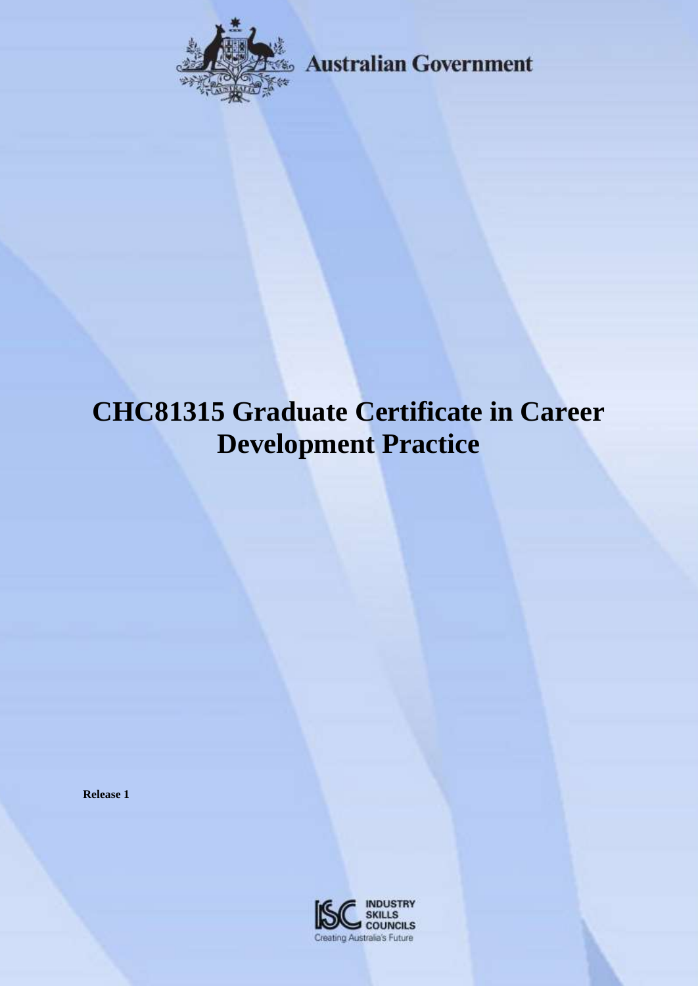

**Example 28** Australian Government

# **CHC81315 Graduate Certificate in Career Development Practice**

**Release 1**

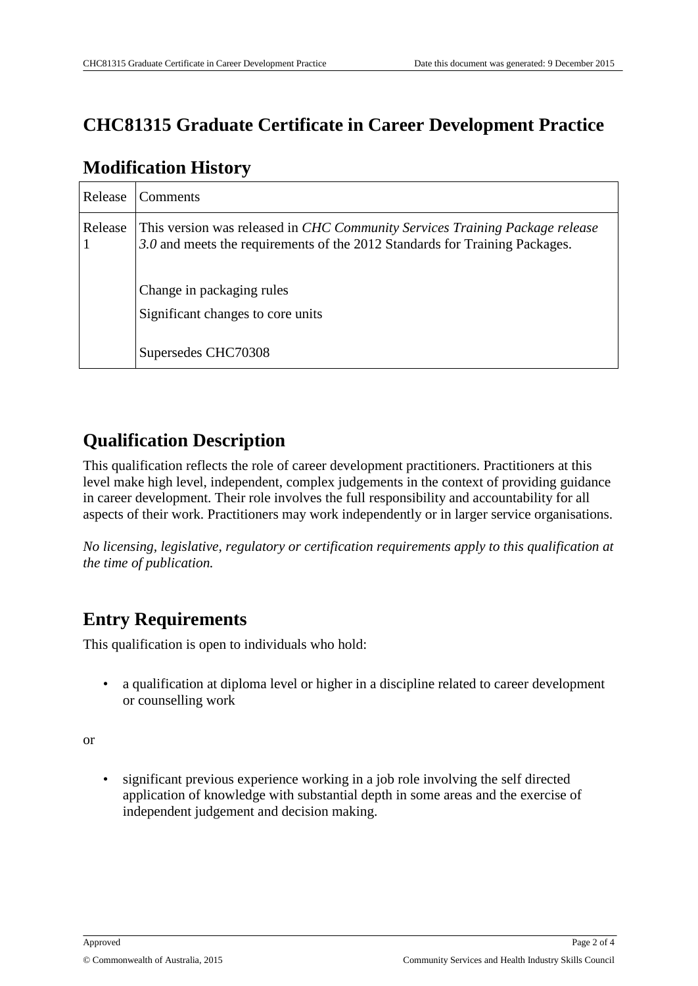### **CHC81315 Graduate Certificate in Career Development Practice**

| Release | Comments                                                                                                                                                    |
|---------|-------------------------------------------------------------------------------------------------------------------------------------------------------------|
| Release | This version was released in CHC Community Services Training Package release<br>3.0 and meets the requirements of the 2012 Standards for Training Packages. |
|         | Change in packaging rules<br>Significant changes to core units                                                                                              |
|         | Supersedes CHC70308                                                                                                                                         |

#### **Modification History**

#### **Qualification Description**

This qualification reflects the role of career development practitioners. Practitioners at this level make high level, independent, complex judgements in the context of providing guidance in career development. Their role involves the full responsibility and accountability for all aspects of their work. Practitioners may work independently or in larger service organisations.

*No licensing, legislative, regulatory or certification requirements apply to this qualification at the time of publication.*

#### **Entry Requirements**

This qualification is open to individuals who hold:

• a qualification at diploma level or higher in a discipline related to career development or counselling work

or

• significant previous experience working in a job role involving the self directed application of knowledge with substantial depth in some areas and the exercise of independent judgement and decision making.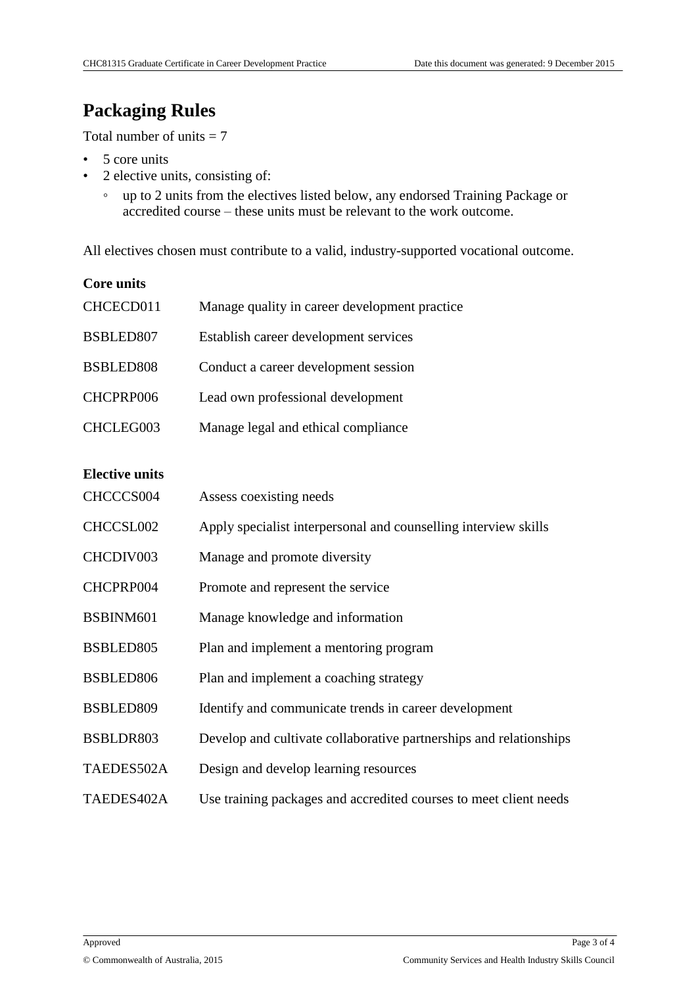#### **Packaging Rules**

Total number of units  $= 7$ 

- 5 core units
- 2 elective units, consisting of:
	- up to 2 units from the electives listed below, any endorsed Training Package or accredited course – these units must be relevant to the work outcome.

All electives chosen must contribute to a valid, industry-supported vocational outcome.

| <b>Core units</b>     |                                                                    |
|-----------------------|--------------------------------------------------------------------|
| CHCECD011             | Manage quality in career development practice                      |
| BSBLED807             | Establish career development services                              |
| BSBLED808             | Conduct a career development session                               |
| CHCPRP006             | Lead own professional development                                  |
| CHCLEG003             | Manage legal and ethical compliance                                |
| <b>Elective units</b> |                                                                    |
|                       |                                                                    |
| CHCCCS004             | Assess coexisting needs                                            |
| CHCCSL002             | Apply specialist interpersonal and counselling interview skills    |
| CHCDIV003             | Manage and promote diversity                                       |
| CHCPRP004             | Promote and represent the service                                  |
| BSBINM601             | Manage knowledge and information                                   |
| BSBLED805             | Plan and implement a mentoring program                             |
| BSBLED806             | Plan and implement a coaching strategy                             |
| BSBLED809             | Identify and communicate trends in career development              |
| BSBLDR803             | Develop and cultivate collaborative partnerships and relationships |
| TAEDES502A            | Design and develop learning resources                              |
| TAEDES402A            | Use training packages and accredited courses to meet client needs  |